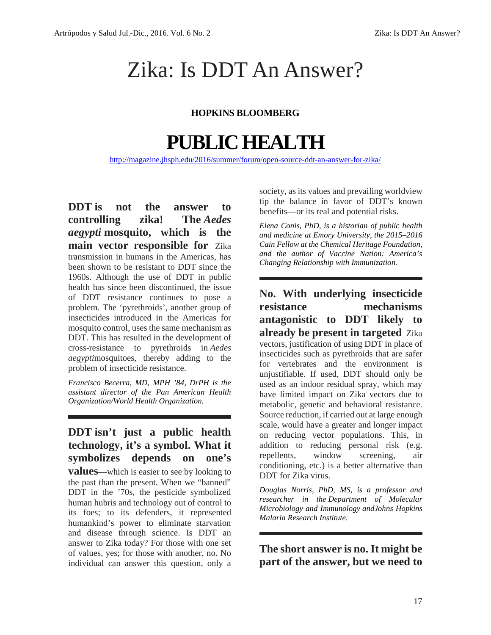# Zika: Is DDT An Answer?

#### **HOPKINS BLOOMBERG**

## **PUBLICHEALTH**

http://magazine.jhsph.edu/2016/summer/forum/open-source-ddt-an-answer-for-zika/

**DDT is not the answer to controlling zika! The** *Aedes aegypti* **mosquito, which is the main vector responsible for** Zika transmission in humans in the Americas, has been shown to be resistant to DDT since the 1960s. Although the use of DDT in public health has since been discontinued, the issue of DDT resistance continues to pose a **NO. WILD**<br>problem The 'pyrethroids' another group of **resistance** problem. The 'pyrethroids', another group of insecticides introduced in the Americas for mosquito control, uses the same mechanism as DDT. This has resulted in the development of cross-resistance to pyrethroids in *Aedes aegypti*mosquitoes, thereby adding to the problem of insecticide resistance.

*Francisco Becerra, MD, MPH '84, DrPH is the assistant director of the Pan American Health Organization/World Health Organization.*

### **DDT isn't just a public health technology, it's a symbol. What it** addition to a symbolize a symbol. What it **symbolizes depends on one's**

**values—**which is easier to see by looking to the past than the present. When we "banned" DDT in the '70s, the pesticide symbolized human hubris and technology out of control to its foes; to its defenders, it represented humankind's power to eliminate starvation and disease through science. Is DDT an answer to Zika today? For those with one set of values, yes; for those with another, no. No individual can answer this question, only a

society, as its values and prevailing worldview tip the balance in favor of DDT's known benefits—or its real and potential risks.

*Elena Conis, PhD, is a historian of public health and medicine at Emory University, the 2015–2016 Cain Fellow at the Chemical Heritage Foundation, and the author of Vaccine Nation: America's Changing Relationship with Immunization.*

**No. With underlying insecticide** mechanisms **antagonistic to DDT likely to already be present in targeted** Zika vectors, justification of using DDT in place of insecticides such as pyrethroids that are safer for vertebrates and the environment is unjustifiable. If used, DDT should only be used as an indoor residual spray, which may have limited impact on Zika vectors due to metabolic, genetic and behavioral resistance. Source reduction, if carried out at large enough scale, would have a greater and longer impact on reducing vector populations. This, in addition to reducing personal risk (e.g. window screening, air conditioning, etc.) is a better alternative than DDT for Zika virus.

*Douglas Norris, PhD, MS, is a professor and researcher in the Department of Molecular Microbiology and Immunology andJohns Hopkins Malaria Research Institute.*

**The short answer is no. It might be part of the answer, but we need to**